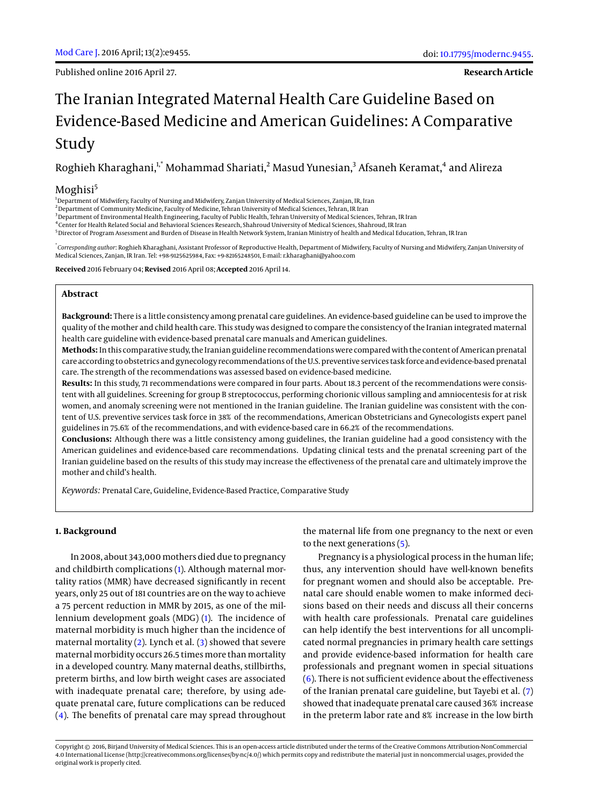Published online 2016 April 27.

# The Iranian Integrated Maternal Health Care Guideline Based on Evidence-Based Medicine and American Guidelines: A Comparative Study

Roghieh Kharaghani, $!$ , $^*$  Mohammad Shariati, $^2$  Masud Yunesian, $^3$  Afsaneh Keramat, $^4$  and Alireza

# Moghisi<sup>5</sup>

<sup>1</sup>Department of Midwifery, Faculty of Nursing and Midwifery, Zanjan University of Medical Sciences, Zanjan, IR, Iran

 $^2$ Department of Community Medicine, Faculty of Medicine, Tehran University of Medical Sciences, Tehran, IR Iran

<sup>3</sup> Department of Environmental Health Engineering, Faculty of Public Health, Tehran University of Medical Sciences, Tehran, IR Iran

4 Center for Health Related Social and Behavioral Sciences Research, Shahroud University of Medical Sciences, Shahroud, IR Iran

<sup>5</sup>Director of Program Assessment and Burden of Disease in Health Network System, Iranian Ministry of health and Medical Education, Tehran, IR Iran

\* *Corresponding author*: Roghieh Kharaghani, Assistant Professor of Reproductive Health, Department of Midwifery, Faculty of Nursing and Midwifery, Zanjan University of Medical Sciences, Zanjan, IR Iran. Tel: +98-9125625984, Fax: +9-82165248501, E-mail: r.kharaghani@yahoo.com

**Received** 2016 February 04; **Revised** 2016 April 08; **Accepted** 2016 April 14.

## **Abstract**

**Background:** There is a little consistency among prenatal care guidelines. An evidence-based guideline can be used to improve the quality of the mother and child health care. This study was designed to compare the consistency of the Iranian integrated maternal health care guideline with evidence-based prenatal care manuals and American guidelines.

**Methods:** In this comparative study, the Iranian guideline recommendations were compared with the content of American prenatal care according to obstetrics and gynecology recommendations of the U.S. preventive services task force and evidence-based prenatal care. The strength of the recommendations was assessed based on evidence-based medicine.

**Results:** In this study, 71 recommendations were compared in four parts. About 18.3 percent of the recommendations were consistent with all guidelines. Screening for group B streptococcus, performing chorionic villous sampling and amniocentesis for at risk women, and anomaly screening were not mentioned in the Iranian guideline. The Iranian guideline was consistent with the content of U.S. preventive services task force in 38% of the recommendations, American Obstetricians and Gynecologists expert panel guidelines in 75.6% of the recommendations, and with evidence-based care in 66.2% of the recommendations.

**Conclusions:** Although there was a little consistency among guidelines, the Iranian guideline had a good consistency with the American guidelines and evidence-based care recommendations. Updating clinical tests and the prenatal screening part of the Iranian guideline based on the results of this study may increase the effectiveness of the prenatal care and ultimately improve the mother and child's health.

*Keywords:* Prenatal Care, Guideline, Evidence-Based Practice, Comparative Study

## **1. Background**

In 2008, about 343,000mothers died due to pregnancy and childbirth complications [\(1\)](#page-4-0). Although maternal mortality ratios (MMR) have decreased significantly in recent years, only 25 out of 181 countries are on the way to achieve a 75 percent reduction in MMR by 2015, as one of the millennium development goals (MDG) [\(1\)](#page-4-0). The incidence of maternal morbidity is much higher than the incidence of maternal mortality [\(2\)](#page-4-1). Lynch et al. [\(3\)](#page-4-2) showed that severe maternal morbidity occurs 26.5 times more than mortality in a developed country. Many maternal deaths, stillbirths, preterm births, and low birth weight cases are associated with inadequate prenatal care; therefore, by using adequate prenatal care, future complications can be reduced [\(4\)](#page-4-3). The benefits of prenatal care may spread throughout

the maternal life from one pregnancy to the next or even to the next generations [\(5\)](#page-4-4).

Pregnancy is a physiological process in the human life; thus, any intervention should have well-known benefits for pregnant women and should also be acceptable. Prenatal care should enable women to make informed decisions based on their needs and discuss all their concerns with health care professionals. Prenatal care guidelines can help identify the best interventions for all uncomplicated normal pregnancies in primary health care settings and provide evidence-based information for health care professionals and pregnant women in special situations [\(6\)](#page-4-5). There is not sufficient evidence about the effectiveness of the Iranian prenatal care guideline, but Tayebi et al. [\(7\)](#page-4-6) showed that inadequate prenatal care caused 36% increase in the preterm labor rate and 8% increase in the low birth

Copyright © 2016, Birjand University of Medical Sciences. This is an open-access article distributed under the terms of the Creative Commons Attribution-NonCommercial 4.0 International License (http://creativecommons.org/licenses/by-nc/4.0/) which permits copy and redistribute the material just in noncommercial usages, provided the original work is properly cited.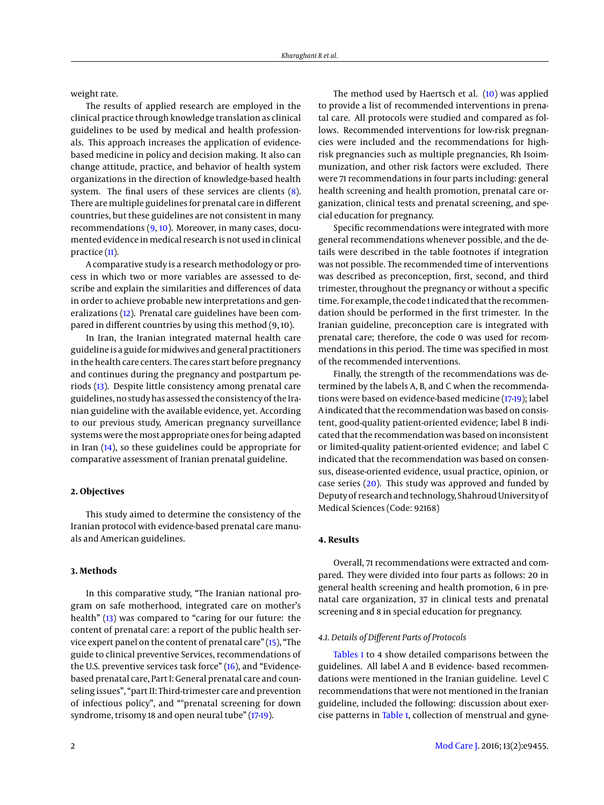weight rate.

The results of applied research are employed in the clinical practice through knowledge translation as clinical guidelines to be used by medical and health professionals. This approach increases the application of evidencebased medicine in policy and decision making. It also can change attitude, practice, and behavior of health system organizations in the direction of knowledge-based health system. The final users of these services are clients [\(8\)](#page-4-7). There are multiple guidelines for prenatal care in different countries, but these guidelines are not consistent in many recommendations [\(9,](#page-4-8) [10\)](#page-4-9). Moreover, in many cases, documented evidence in medical research is not used in clinical practice [\(11\)](#page-4-10).

A comparative study is a research methodology or process in which two or more variables are assessed to describe and explain the similarities and differences of data in order to achieve probable new interpretations and generalizations [\(12\)](#page-4-11). Prenatal care guidelines have been compared in different countries by using this method (9, 10).

In Iran, the Iranian integrated maternal health care guideline is a guide formidwives and general practitioners in the health care centers. The cares start before pregnancy and continues during the pregnancy and postpartum periods [\(13\)](#page-4-12). Despite little consistency among prenatal care guidelines, no study has assessed the consistency of the Iranian guideline with the available evidence, yet. According to our previous study, American pregnancy surveillance systems were the most appropriate ones for being adapted in Iran [\(14\)](#page-4-13), so these guidelines could be appropriate for comparative assessment of Iranian prenatal guideline.

## **2. Objectives**

This study aimed to determine the consistency of the Iranian protocol with evidence-based prenatal care manuals and American guidelines.

## **3. Methods**

In this comparative study, "The Iranian national program on safe motherhood, integrated care on mother's health" [\(13\)](#page-4-12) was compared to "caring for our future: the content of prenatal care: a report of the public health service expert panel on the content of prenatal care" [\(15\)](#page-4-14), "The guide to clinical preventive Services, recommendations of the U.S. preventive services task force" [\(16\)](#page-4-15), and "Evidencebased prenatal care, Part I: General prenatal care and counseling issues", "part II: Third-trimester care and prevention of infectious policy", and ""prenatal screening for down syndrome, trisomy 18 and open neural tube" [\(17-](#page-5-0)[19\)](#page-5-1).

The method used by Haertsch et al. [\(10\)](#page-4-9) was applied to provide a list of recommended interventions in prenatal care. All protocols were studied and compared as follows. Recommended interventions for low-risk pregnancies were included and the recommendations for highrisk pregnancies such as multiple pregnancies, Rh Isoimmunization, and other risk factors were excluded. There were 71 recommendations in four parts including: general health screening and health promotion, prenatal care organization, clinical tests and prenatal screening, and special education for pregnancy.

Specific recommendations were integrated with more general recommendations whenever possible, and the details were described in the table footnotes if integration was not possible. The recommended time of interventions was described as preconception, first, second, and third trimester, throughout the pregnancy or without a specific time. For example, the code 1 indicated that the recommendation should be performed in the first trimester. In the Iranian guideline, preconception care is integrated with prenatal care; therefore, the code 0 was used for recommendations in this period. The time was specified in most of the recommended interventions.

Finally, the strength of the recommendations was determined by the labels A, B, and C when the recommendations were based on evidence-based medicine [\(17-](#page-5-0)[19\)](#page-5-1); label A indicated that the recommendation was based on consistent, good-quality patient-oriented evidence; label B indicated that the recommendation was based on inconsistent or limited-quality patient-oriented evidence; and label C indicated that the recommendation was based on consensus, disease-oriented evidence, usual practice, opinion, or case series [\(20\)](#page-5-2). This study was approved and funded by Deputy of research and technology, Shahroud University of Medical Sciences (Code: 92168)

# **4. Results**

Overall, 71 recommendations were extracted and compared. They were divided into four parts as follows: 20 in general health screening and health promotion, 6 in prenatal care organization, 37 in clinical tests and prenatal screening and 8 in special education for pregnancy.

## *4.1. Details of Different Parts of Protocols*

[Tables 1](#page-6-0) to 4 show detailed comparisons between the guidelines. All label A and B evidence- based recommendations were mentioned in the Iranian guideline. Level C recommendations that were not mentioned in the Iranian guideline, included the following: discussion about exercise patterns in [Table 1,](#page-6-0) collection of menstrual and gyne-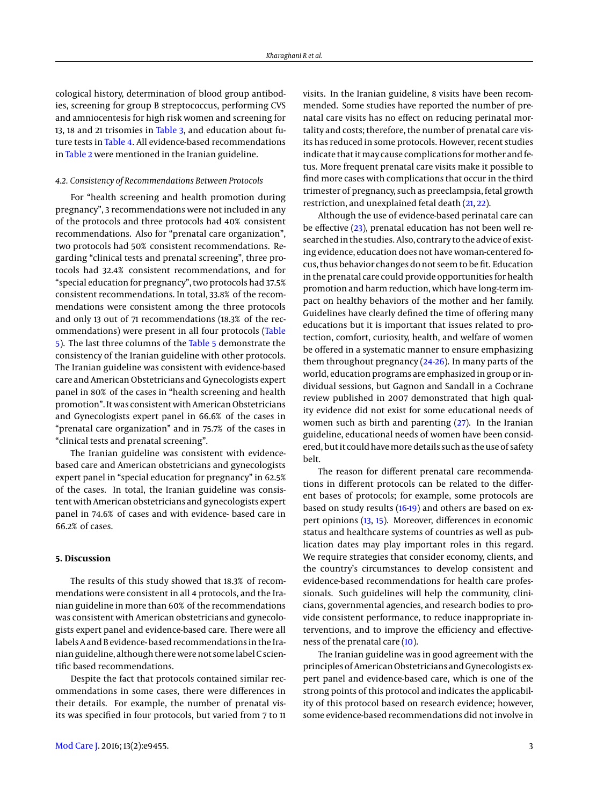cological history, determination of blood group antibodies, screening for group B streptococcus, performing CVS and amniocentesis for high risk women and screening for 13, 18 and 21 trisomies in [Table 3,](#page-8-0) and education about future tests in [Table 4.](#page-3-0) All evidence-based recommendations in [Table 2](#page-3-1) were mentioned in the Iranian guideline.

#### *4.2. Consistency of Recommendations Between Protocols*

For "health screening and health promotion during pregnancy", 3 recommendations were not included in any of the protocols and three protocols had 40% consistent recommendations. Also for "prenatal care organization", two protocols had 50% consistent recommendations. Regarding "clinical tests and prenatal screening", three protocols had 32.4% consistent recommendations, and for "special education for pregnancy", two protocols had 37.5% consistent recommendations. In total, 33.8% of the recommendations were consistent among the three protocols and only 13 out of 71 recommendations (18.3% of the recommendations) were present in all four protocols [\(Table](#page-4-16) [5\)](#page-4-16). The last three columns of the [Table 5](#page-4-16) demonstrate the consistency of the Iranian guideline with other protocols. The Iranian guideline was consistent with evidence-based care and American Obstetricians and Gynecologists expert panel in 80% of the cases in "health screening and health promotion". It was consistent with American Obstetricians and Gynecologists expert panel in 66.6% of the cases in "prenatal care organization" and in 75.7% of the cases in "clinical tests and prenatal screening".

The Iranian guideline was consistent with evidencebased care and American obstetricians and gynecologists expert panel in "special education for pregnancy" in 62.5% of the cases. In total, the Iranian guideline was consistent with American obstetricians and gynecologists expert panel in 74.6% of cases and with evidence- based care in 66.2% of cases.

## **5. Discussion**

The results of this study showed that 18.3% of recommendations were consistent in all 4 protocols, and the Iranian guideline in more than 60% of the recommendations was consistent with American obstetricians and gynecologists expert panel and evidence-based care. There were all labels A and B evidence- based recommendations in the Iranian guideline, although there were not some label C scientific based recommendations.

Despite the fact that protocols contained similar recommendations in some cases, there were differences in their details. For example, the number of prenatal visits was specified in four protocols, but varied from 7 to 11

visits. In the Iranian guideline, 8 visits have been recommended. Some studies have reported the number of prenatal care visits has no effect on reducing perinatal mortality and costs; therefore, the number of prenatal care visits has reduced in some protocols. However, recent studies indicate that it may cause complications for mother and fetus. More frequent prenatal care visits make it possible to find more cases with complications that occur in the third trimester of pregnancy, such as preeclampsia, fetal growth restriction, and unexplained fetal death [\(21,](#page-5-3) [22\)](#page-5-4).

Although the use of evidence-based perinatal care can be effective [\(23\)](#page-5-5), prenatal education has not been well researched in the studies. Also, contrary to the advice of existing evidence, education does not have woman-centered focus, thus behavior changes do not seem to be fit. Education in the prenatal care could provide opportunities for health promotion and harm reduction, which have long-term impact on healthy behaviors of the mother and her family. Guidelines have clearly defined the time of offering many educations but it is important that issues related to protection, comfort, curiosity, health, and welfare of women be offered in a systematic manner to ensure emphasizing them throughout pregnancy  $(24-26)$  $(24-26)$ . In many parts of the world, education programs are emphasized in group or individual sessions, but Gagnon and Sandall in a Cochrane review published in 2007 demonstrated that high quality evidence did not exist for some educational needs of women such as birth and parenting [\(27\)](#page-5-8). In the Iranian guideline, educational needs of women have been considered, but it could havemore details such as the use of safety belt.

The reason for different prenatal care recommendations in different protocols can be related to the different bases of protocols; for example, some protocols are based on study results [\(16-](#page-4-15)[19\)](#page-5-1) and others are based on expert opinions [\(13,](#page-4-12) [15\)](#page-4-14). Moreover, differences in economic status and healthcare systems of countries as well as publication dates may play important roles in this regard. We require strategies that consider economy, clients, and the country's circumstances to develop consistent and evidence-based recommendations for health care professionals. Such guidelines will help the community, clinicians, governmental agencies, and research bodies to provide consistent performance, to reduce inappropriate interventions, and to improve the efficiency and effectiveness of the prenatal care [\(10\)](#page-4-9).

The Iranian guideline was in good agreement with the principles of American Obstetricians and Gynecologists expert panel and evidence-based care, which is one of the strong points of this protocol and indicates the applicability of this protocol based on research evidence; however, some evidence-based recommendations did not involve in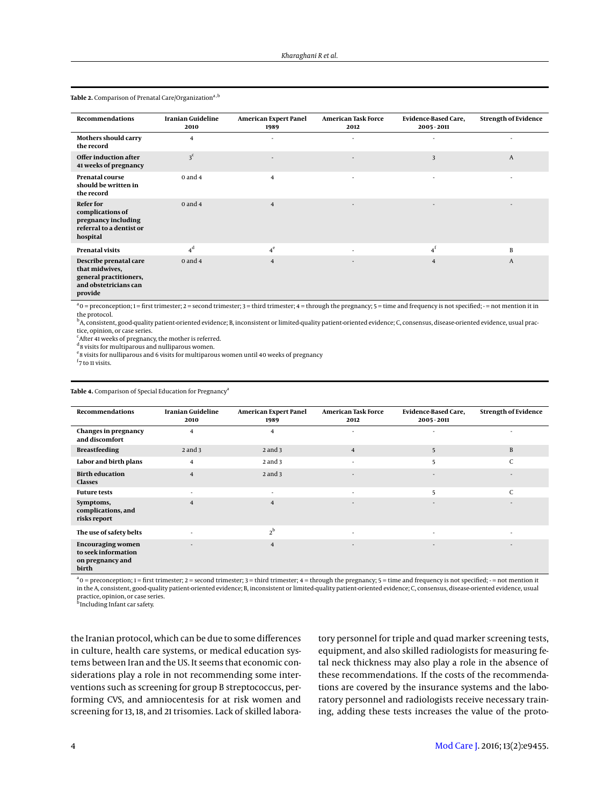| <b>Recommendations</b>                                                                                 | <b>Iranian Guideline</b><br>2010 | <b>American Expert Panel</b><br>1989 | <b>American Task Force</b><br>2012 | <b>Evidence-Based Care,</b><br>2005 - 2011 | <b>Strength of Evidence</b> |
|--------------------------------------------------------------------------------------------------------|----------------------------------|--------------------------------------|------------------------------------|--------------------------------------------|-----------------------------|
| Mothers should carry<br>the record                                                                     | 4                                |                                      |                                    |                                            |                             |
| Offer induction after<br>41 weeks of pregnancy                                                         | 3 <sup>c</sup>                   | ٠                                    |                                    | 3                                          | A                           |
| <b>Prenatal course</b><br>should be written in<br>the record                                           | $0$ and $4$                      | $\overline{4}$                       | $\sim$                             | ٠                                          |                             |
| <b>Refer for</b><br>complications of<br>pregnancy including<br>referral to a dentist or<br>hospital    | $0$ and $4$                      | $\overline{4}$                       |                                    | ٠                                          | ٠                           |
| <b>Prenatal visits</b>                                                                                 | $4^d$                            | $4^e$                                |                                    | $4^f$                                      | B                           |
| Describe prenatal care<br>that midwives,<br>general practitioners,<br>and obstetricians can<br>provide | $0$ and $4$                      | $\overline{4}$                       |                                    | $\overline{4}$                             | A                           |

<span id="page-3-1"></span>Table 2. Comparison of Prenatal Care/Organization<sup>a, b</sup>

 $a_0$  = preconception; 1 = first trimester; 2 = second trimester; 3 = third trimester; 4 = through the pregnancy; 5 = time and frequency is not specified; - = not mention it in the protocol.

<sup>b</sup>A, consistent, good-quality patient-oriented evidence; B, inconsistent or limited-quality patient-oriented evidence; C, consensus, disease-oriented evidence, usual prac tice, opinion, or case series.

<sup>c</sup> After 41 weeks of pregnancy, the mother is referred.

d<sub>8</sub> visits for multiparous and nulliparous women.

<sup>e</sup> 8 visits for nulliparous and 6 visits for multiparous women until 40 weeks of pregnancy

<sup>f</sup>7 to 11 visits.

<span id="page-3-0"></span>Table 4. Comparison of Special Education for Pregnancy<sup>a</sup>

| <b>Recommendations</b>                                                       | Iranian Guideline<br>2010 | <b>American Expert Panel</b><br>1989 | <b>American Task Force</b><br>2012 | <b>Evidence-Based Care,</b><br>2005 - 2011 | <b>Strength of Evidence</b> |
|------------------------------------------------------------------------------|---------------------------|--------------------------------------|------------------------------------|--------------------------------------------|-----------------------------|
| <b>Changes in pregnancy</b><br>and discomfort                                | $\overline{4}$            | $\overline{4}$                       | $\overline{\phantom{a}}$           | ۰                                          | ٠                           |
| <b>Breastfeeding</b>                                                         | $2$ and $3$               | $2$ and $3$                          | $\overline{\mathbf{4}}$            | 5                                          | B                           |
| Labor and birth plans                                                        | 4                         | $2$ and $3$                          | $\overline{\phantom{a}}$           | 5                                          | C                           |
| <b>Birth education</b><br><b>Classes</b>                                     | $\overline{4}$            | $2$ and $3$                          | $\overline{\phantom{a}}$           | ٠                                          | ٠                           |
| <b>Future tests</b>                                                          | $\overline{\phantom{a}}$  | ٠                                    | ٠                                  | 5                                          | $\mathsf{C}$                |
| Symptoms,<br>complications, and<br>risks report                              | $\overline{4}$            | $\overline{4}$                       | $\overline{\phantom{a}}$           | ۰                                          | ٠                           |
| The use of safety belts                                                      |                           | $2^{\rm b}$                          | $\overline{\phantom{a}}$           | ٠                                          | ٠                           |
| <b>Encouraging women</b><br>to seek information<br>on pregnancy and<br>birth |                           | $\overline{4}$                       | $\overline{\phantom{a}}$           | ۰                                          | $\overline{\phantom{a}}$    |

 $a_0$  = preconception; 1 = first trimester; 2 = second trimester; 3 = third trimester; 4 = through the pregnancy; 5 = time and frequency is not specified; - = not mention it in the A, consistent, good-quality patient-oriented evidence; B, inconsistent or limited-quality patient-oriented evidence; C, consensus, disease-oriented evidence, usual practice, opinion, or case series. b Including Infant car safety.

the Iranian protocol, which can be due to some differences in culture, health care systems, or medical education systems between Iran and the US. It seems that economic considerations play a role in not recommending some interventions such as screening for group B streptococcus, performing CVS, and amniocentesis for at risk women and screening for 13, 18, and 21 trisomies. Lack of skilled laboratory personnel for triple and quad marker screening tests, equipment, and also skilled radiologists for measuring fetal neck thickness may also play a role in the absence of these recommendations. If the costs of the recommendations are covered by the insurance systems and the laboratory personnel and radiologists receive necessary training, adding these tests increases the value of the proto-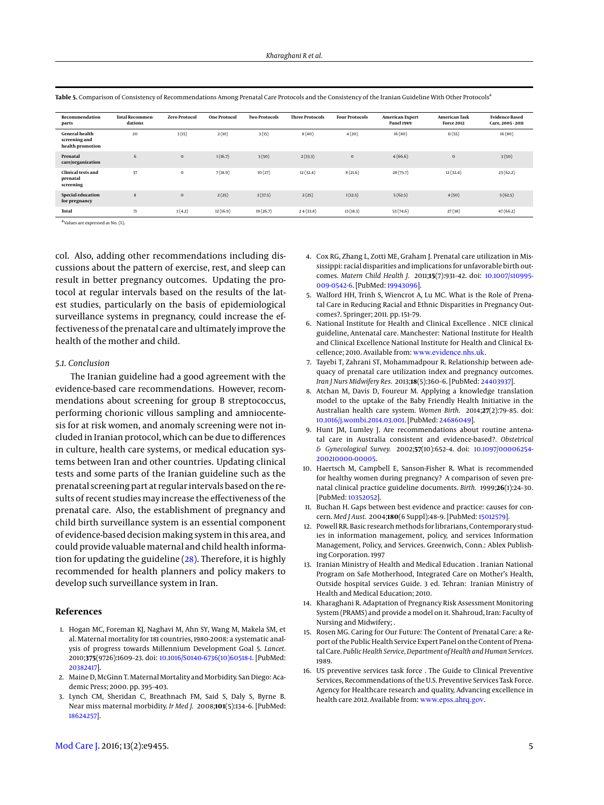| Recommendation<br>parts                                    | <b>Total Recommen-</b><br>dations | <b>Zero Protocol</b> | <b>One Protocol</b> | <b>Two Protocols</b> | <b>Three Protocols</b> | <b>Four Protocols</b> | American Expert<br><b>Panel 1989</b> | <b>American Task</b><br><b>Force 2012</b> | <b>Evidence-Based</b><br>Care, 2005 - 2011 |
|------------------------------------------------------------|-----------------------------------|----------------------|---------------------|----------------------|------------------------|-----------------------|--------------------------------------|-------------------------------------------|--------------------------------------------|
| <b>General health</b><br>screening and<br>health promotion | 20                                | 3(15)                | 2(10)               | 3(15)                | 8(40)                  | 4(20)                 | 16(80)                               | 11(55)                                    | 16(80)                                     |
| Prenatal<br>care/organization                              | 6                                 | $\mathbf{0}$         | 1(16.7)             | 3(50)                | 2(33.3)                | $\bf{0}$              | 4(66.6)                              | $\mathbf{0}$                              | 3(50)                                      |
| <b>Clinical tests and</b><br>prenatal<br>screening         | 37                                | $\mathbf{0}$         | 7(18.9)             | 10(27)               | 12(32.4)               | 8(21.6)               | 28(75.7)                             | 12(32.4)                                  | 23(62.2)                                   |
| Special education<br>for pregnancy                         | 8                                 | $\mathbf{0}$         | 2(25)               | 3(37.5)              | 2(25)                  | 1(12.5)               | 5(62.5)                              | 4(50)                                     | 5(62.5)                                    |
| <b>Total</b>                                               | 71                                | 3(4.2)               | 12(16.9)            | 19(26.7)             | 24(33.8)               | 13(18.3)              | 53(74.6)                             | 27(38)                                    | 47(66.2)                                   |

<span id="page-4-16"></span>Table 5. Comparison of Consistency of Recommendations Among Prenatal Care Protocols and the Consistency of the Iranian Guideline With Other Protocols<sup>a</sup>

a Values are expressed as No. (%).

col. Also, adding other recommendations including discussions about the pattern of exercise, rest, and sleep can result in better pregnancy outcomes. Updating the protocol at regular intervals based on the results of the latest studies, particularly on the basis of epidemiological surveillance systems in pregnancy, could increase the effectiveness of the prenatal care and ultimately improve the health of the mother and child.

#### *5.1. Conclusion*

The Iranian guideline had a good agreement with the evidence-based care recommendations. However, recommendations about screening for group B streptococcus, performing chorionic villous sampling and amniocentesis for at risk women, and anomaly screening were not included in Iranian protocol, which can be due to differences in culture, health care systems, or medical education systems between Iran and other countries. Updating clinical tests and some parts of the Iranian guideline such as the prenatal screening part at regular intervals based on the results of recent studies may increase the effectiveness of the prenatal care. Also, the establishment of pregnancy and child birth surveillance system is an essential component of evidence-based decision making system in this area, and could provide valuablematernal and child health information for updating the guideline [\(28\)](#page-5-9). Therefore, it is highly recommended for health planners and policy makers to develop such surveillance system in Iran.

#### **References**

- <span id="page-4-0"></span>1. Hogan MC, Foreman KJ, Naghavi M, Ahn SY, Wang M, Makela SM, et al. Maternal mortality for 181 countries, 1980-2008: a systematic analysis of progress towards Millennium Development Goal 5. *Lancet.* 2010;**375**(9726):1609–23. doi: [10.1016/S0140-6736\(10\)60518-1.](http://dx.doi.org/10.1016/S0140-6736(10)60518-1) [PubMed: [20382417\]](http://www.ncbi.nlm.nih.gov/pubmed/20382417).
- <span id="page-4-1"></span>2. Maine D, McGinn T. Maternal Mortality and Morbidity. San Diego: Academic Press; 2000. pp. 395–403.
- <span id="page-4-2"></span>3. Lynch CM, Sheridan C, Breathnach FM, Said S, Daly S, Byrne B. Near miss maternal morbidity. *Ir Med J.* 2008;**101**(5):134–6. [PubMed: [18624257\]](http://www.ncbi.nlm.nih.gov/pubmed/18624257).
- <span id="page-4-3"></span>4. Cox RG, Zhang L, Zotti ME, Graham J. Prenatal care utilization in Mississippi: racial disparities and implications for unfavorable birth outcomes. *Matern Child Health J.* 2011;**15**(7):931–42. doi: [10.1007/s10995-](http://dx.doi.org/10.1007/s10995-009-0542-6) [009-0542-6.](http://dx.doi.org/10.1007/s10995-009-0542-6) [PubMed: [19943096\]](http://www.ncbi.nlm.nih.gov/pubmed/19943096).
- <span id="page-4-4"></span>5. Walford HH, Trinh S, Wiencrot A, Lu MC. What is the Role of Prenatal Care in Reducing Racial and Ethnic Disparities in Pregnancy Outcomes?. Springer; 2011. pp. 151–79.
- <span id="page-4-5"></span>6. National Institute for Health and Clinical Excellence . NICE clinical guideline, Antenatal care. Manchester: National Institute for Health and Clinical Excellence National Institute for Health and Clinical Excellence: 2010. Available from: <www.evidence.nhs.uk>.
- <span id="page-4-6"></span>7. Tayebi T, Zahrani ST, Mohammadpour R. Relationship between adequacy of prenatal care utilization index and pregnancy outcomes. *Iran J Nurs Midwifery Res.* 2013;**18**(5):360–6. [PubMed: [24403937\]](http://www.ncbi.nlm.nih.gov/pubmed/24403937).
- <span id="page-4-7"></span>8. Atchan M, Davis D, Foureur M. Applying a knowledge translation model to the uptake of the Baby Friendly Health Initiative in the Australian health care system. *Women Birth.* 2014;**27**(2):79–85. doi: [10.1016/j.wombi.2014.03.001.](http://dx.doi.org/10.1016/j.wombi.2014.03.001) [PubMed: [24686049\]](http://www.ncbi.nlm.nih.gov/pubmed/24686049).
- <span id="page-4-8"></span>9. Hunt JM, Lumley J. Are recommendations about routine antenatal care in Australia consistent and evidence-based?. *Obstetrical & Gynecological Survey.* 2002;**57**(10):652–4. doi: [10.1097/00006254-](http://dx.doi.org/10.1097/00006254-200210000-00005) [200210000-00005.](http://dx.doi.org/10.1097/00006254-200210000-00005)
- <span id="page-4-9"></span>10. Haertsch M, Campbell E, Sanson-Fisher R. What is recommended for healthy women during pregnancy? A comparison of seven prenatal clinical practice guideline documents. *Birth.* 1999;**26**(1):24–30. [PubMed: [10352052\]](http://www.ncbi.nlm.nih.gov/pubmed/10352052).
- <span id="page-4-10"></span>11. Buchan H. Gaps between best evidence and practice: causes for concern. *Med J Aust.* 2004;**180**(6 Suppl):48–9. [PubMed: [15012579\]](http://www.ncbi.nlm.nih.gov/pubmed/15012579).
- <span id="page-4-11"></span>12. Powell RR. Basic research methods for librarians, Contemporary studies in information management, policy, and services Information Management, Policy, and Services. Greenwich, Conn.: Ablex Publishing Corporation. 1997
- <span id="page-4-12"></span>13. Iranian Ministry of Health and Medical Education . Iranian National Program on Safe Motherhood, Integrated Care on Mother's Health, Outside hospital services Guide. 3 ed. Tehran: Iranian Ministry of Health and Medical Education; 2010.
- <span id="page-4-13"></span>14. Kharaghani R. Adaptation of Pregnancy Risk Assessment Monitoring System (PRAMS) and provide a model on it. Shahroud, Iran: Faculty of Nursing and Midwifery; .
- <span id="page-4-14"></span>15. Rosen MG. Caring for Our Future: The Content of Prenatal Care: a Report of the Public Health Service Expert Panel on the Content of Prenatal Care. *Public Health Service, Department of Health and Human Services.* 1989.
- <span id="page-4-15"></span>16. US preventive services task force . The Guide to Clinical Preventive Services, Recommendations of the U.S. Preventive Services Task Force. Agency for Healthcare research and quality, Advancing excellence in health care 2012. Available from: <www.epss.ahrq.gov>.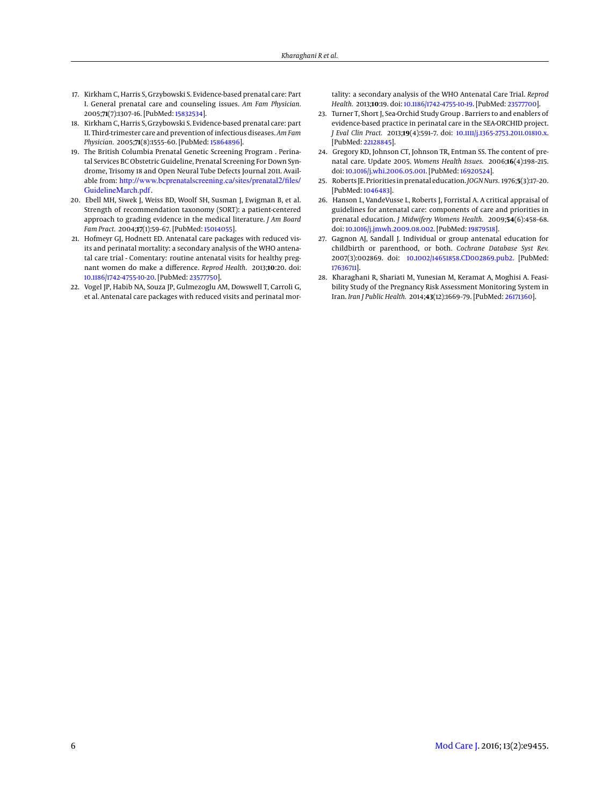- <span id="page-5-0"></span>17. Kirkham C, Harris S, Grzybowski S. Evidence-based prenatal care: Part I. General prenatal care and counseling issues. *Am Fam Physician.* 2005;**71**(7):1307–16. [PubMed: [15832534\]](http://www.ncbi.nlm.nih.gov/pubmed/15832534).
- 18. Kirkham C, Harris S, Grzybowski S. Evidence-based prenatal care: part II. Third-trimester care and prevention of infectious diseases. *Am Fam Physician.* 2005;**71**(8):1555–60. [PubMed: [15864896\]](http://www.ncbi.nlm.nih.gov/pubmed/15864896).
- <span id="page-5-1"></span>19. The British Columbia Prenatal Genetic Screening Program . Perinatal Services BC Obstetric Guideline, Prenatal Screening For Down Syndrome, Trisomy 18 and Open Neural Tube Defects Journal 2011. Available from: [http://www.bcprenatalscreening.ca/sites/prenatal2/files/](http://www.bcprenatalscreening.ca/sites/prenatal2/files/GuidelineMarch.pdf) [GuidelineMarch.pdf](http://www.bcprenatalscreening.ca/sites/prenatal2/files/GuidelineMarch.pdf).
- <span id="page-5-2"></span>20. Ebell MH, Siwek J, Weiss BD, Woolf SH, Susman J, Ewigman B, et al. Strength of recommendation taxonomy (SORT): a patient-centered approach to grading evidence in the medical literature. *J Am Board Fam Pract.* 2004;**17**(1):59–67. [PubMed: [15014055\]](http://www.ncbi.nlm.nih.gov/pubmed/15014055).
- <span id="page-5-3"></span>21. Hofmeyr GJ, Hodnett ED. Antenatal care packages with reduced visits and perinatal mortality: a secondary analysis of the WHO antenatal care trial - Comentary: routine antenatal visits for healthy pregnant women do make a difference. *Reprod Health.* 2013;**10**:20. doi: [10.1186/1742-4755-10-20.](http://dx.doi.org/10.1186/1742-4755-10-20) [PubMed: [23577750\]](http://www.ncbi.nlm.nih.gov/pubmed/23577750).
- <span id="page-5-4"></span>22. Vogel JP, Habib NA, Souza JP, Gulmezoglu AM, Dowswell T, Carroli G, et al. Antenatal care packages with reduced visits and perinatal mor-

tality: a secondary analysis of the WHO Antenatal Care Trial. *Reprod Health.* 2013;**10**:19. doi: [10.1186/1742-4755-10-19.](http://dx.doi.org/10.1186/1742-4755-10-19) [PubMed: [23577700\]](http://www.ncbi.nlm.nih.gov/pubmed/23577700).

- <span id="page-5-5"></span>23. Turner T, Short J, Sea-Orchid Study Group . Barriers to and enablers of evidence-based practice in perinatal care in the SEA-ORCHID project. *J Eval Clin Pract.* 2013;**19**(4):591–7. doi: [10.1111/j.1365-2753.2011.01810.x.](http://dx.doi.org/10.1111/j.1365-2753.2011.01810.x) [PubMed: [22128845\]](http://www.ncbi.nlm.nih.gov/pubmed/22128845).
- <span id="page-5-6"></span>24. Gregory KD, Johnson CT, Johnson TR, Entman SS. The content of prenatal care. Update 2005. *Womens Health Issues.* 2006;**16**(4):198–215. doi: [10.1016/j.whi.2006.05.001.](http://dx.doi.org/10.1016/j.whi.2006.05.001) [PubMed: [16920524\]](http://www.ncbi.nlm.nih.gov/pubmed/16920524).
- 25. Roberts JE. Priorities in prenatal education.*JOGN Nurs.* 1976;**5**(3):17–20. [PubMed: [1046483\]](http://www.ncbi.nlm.nih.gov/pubmed/1046483).
- <span id="page-5-7"></span>26. Hanson L, VandeVusse L, Roberts J, Forristal A. A critical appraisal of guidelines for antenatal care: components of care and priorities in prenatal education. *J Midwifery Womens Health.* 2009;**54**(6):458–68. doi: [10.1016/j.jmwh.2009.08.002.](http://dx.doi.org/10.1016/j.jmwh.2009.08.002) [PubMed: [19879518\]](http://www.ncbi.nlm.nih.gov/pubmed/19879518).
- <span id="page-5-8"></span>27. Gagnon AJ, Sandall J. Individual or group antenatal education for childbirth or parenthood, or both. *Cochrane Database Syst Rev.* 2007(3):002869. doi: [10.1002/14651858.CD002869.pub2.](http://dx.doi.org/10.1002/14651858.CD002869.pub2) [PubMed: [17636711\]](http://www.ncbi.nlm.nih.gov/pubmed/17636711).
- <span id="page-5-9"></span>28. Kharaghani R, Shariati M, Yunesian M, Keramat A, Moghisi A. Feasibility Study of the Pregnancy Risk Assessment Monitoring System in Iran. *Iran J Public Health.* 2014;**43**(12):1669–79. [PubMed: [26171360\]](http://www.ncbi.nlm.nih.gov/pubmed/26171360).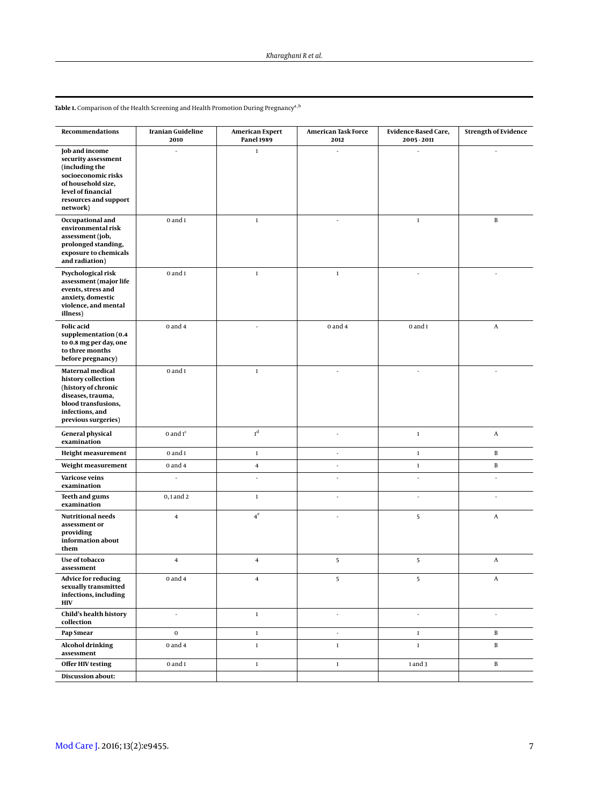| Recommendations                                                                                                                                                 | Iranian Guideline<br>2010 | American Expert<br><b>Panel 1989</b> | American Task Force<br>2012 | Evidence-Based Care,<br>2005 - 2011 | <b>Strength of Evidence</b> |
|-----------------------------------------------------------------------------------------------------------------------------------------------------------------|---------------------------|--------------------------------------|-----------------------------|-------------------------------------|-----------------------------|
| Job and income<br>security assessment<br>(including the<br>socioeconomic risks<br>of household size,<br>level of financial<br>resources and support<br>network) |                           | $\mathbf 1$                          |                             |                                     |                             |
| Occupational and<br>environmental risk<br>assessment (job,<br>prolonged standing,<br>exposure to chemicals<br>and radiation)                                    | $0$ and $1$               | $\mathbf{1}$                         |                             | $\mathbf{1}$                        | B                           |
| Psychological risk<br>assessment (major life<br>events, stress and<br>anxiety, domestic<br>violence, and mental<br>illness)                                     | $0$ and $1$               | $\mathbf 1$                          | $\mathbf 1$                 | ÷.                                  | ×,                          |
| <b>Folic</b> acid<br>supplementation (0.4<br>to 0.8 mg per day, one<br>to three months<br>before pregnancy)                                                     | $0$ and $4$               |                                      | $0$ and $4$                 | $0$ and $1$                         | A                           |
| Maternal medical<br>history collection<br>(history of chronic<br>diseases, trauma,<br>blood transfusions,<br>infections, and<br>previous surgeries)             | $0$ and $1$               | $\mathbf 1$                          | ÷.                          | ٠                                   | $\sim$                      |
| <b>General physical</b><br>examination                                                                                                                          | 0 and $1c$                | $\boldsymbol{1}^{\text{d}}$          | ä,                          | $\,1\,$                             | A                           |
| Height measurement                                                                                                                                              | $0$ and $1$               | $\mathbf{1}$                         | ä,                          | $\mathbf 1$                         | B                           |
| Weight measurement                                                                                                                                              | $0$ and $4$               | $\bf{4}$                             | ÷.                          | $\mathbf 1$                         | B                           |
| Varicose veins<br>examination                                                                                                                                   | ÷                         | L.                                   | L.                          | L.                                  | ÷,                          |
| Teeth and gums<br>examination                                                                                                                                   | $0, 1$ and $2$            | $\mathbf{1}$                         |                             | ÷,                                  |                             |
| <b>Nutritional needs</b><br>assessment or<br>providing<br>information about<br>them                                                                             | $\overline{\mathbf{4}}$   | $4^e$                                |                             | 5                                   | A                           |
| Use of tobacco<br>assessment                                                                                                                                    | $\overline{4}$            | $\overline{4}$                       | 5                           | 5                                   | A                           |
| <b>Advice for reducing</b><br>sexually transmitted<br>infections, including<br><b>HIV</b>                                                                       | $0$ and $4$               | $\overline{4}$                       | 5                           | 5                                   | A                           |
| Child's health history<br>collection                                                                                                                            | $\sim$                    | $\mathbf{1}$                         | ×,                          | ÷,                                  | ×,                          |
| Pap Smear                                                                                                                                                       | $\mathbf 0$               | $\mathbf 1$                          | ×,                          | $\,1\,$                             | $\, {\bf B}$                |
| <b>Alcohol drinking</b><br>assessment                                                                                                                           | $0$ and $4$               | $\mathbf{1}$                         | $\mathbf 1$                 | $\mathbf{1}$                        | B                           |
| <b>Offer HIV testing</b>                                                                                                                                        | $0$ and $1$               | $\mathbf 1$                          | $\,1\,$                     | 1 and 3                             | $\, {\bf B}$                |
| Discussion about:                                                                                                                                               |                           |                                      |                             |                                     |                             |

<span id="page-6-0"></span> ${\bf Table \ 1.}$  Comparison of the Health Screening and Health Promotion During Pregnancy $^{\rm a,b}$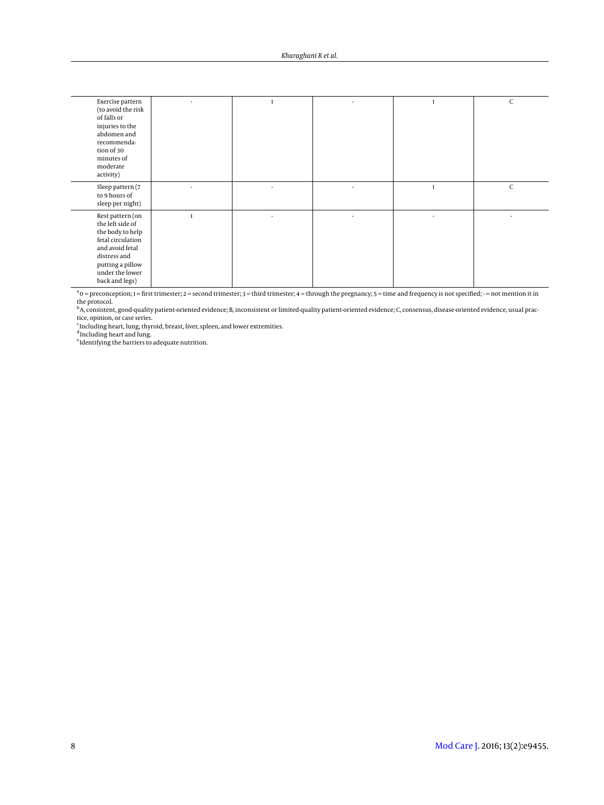| Exercise pattern<br>(to avoid the risk<br>of falls or<br>injuries to the<br>abdomen and<br>recommenda-<br>tion of 30<br>minutes of<br>moderate<br>activity)               |   |              | C            |
|---------------------------------------------------------------------------------------------------------------------------------------------------------------------------|---|--------------|--------------|
| Sleep pattern (7<br>to 9 hours of<br>sleep per night)                                                                                                                     | ٠ | $\mathbf{1}$ | $\mathsf{C}$ |
| Rest pattern (on<br>the left side of<br>the body to help<br>fetal circulation<br>and avoid fetal<br>distress and<br>putting a pillow<br>under the lower<br>back and legs) |   |              |              |

 $a_0$  = preconception; 1 = first trimester; 2 = second trimester; 3 = third trimester; 4 = through the pregnancy; 5 = time and frequency is not specified; - = not mention it in

the protocol.<br><sup>b</sup>A, consistent, good-quality patient-oriented evidence; B, inconsistent or limited-quality patient-oriented evidence; C, consensus, disease-oriented evidence, usual prac<br>tice, opinion, or case series.<br><sup>c</sup>In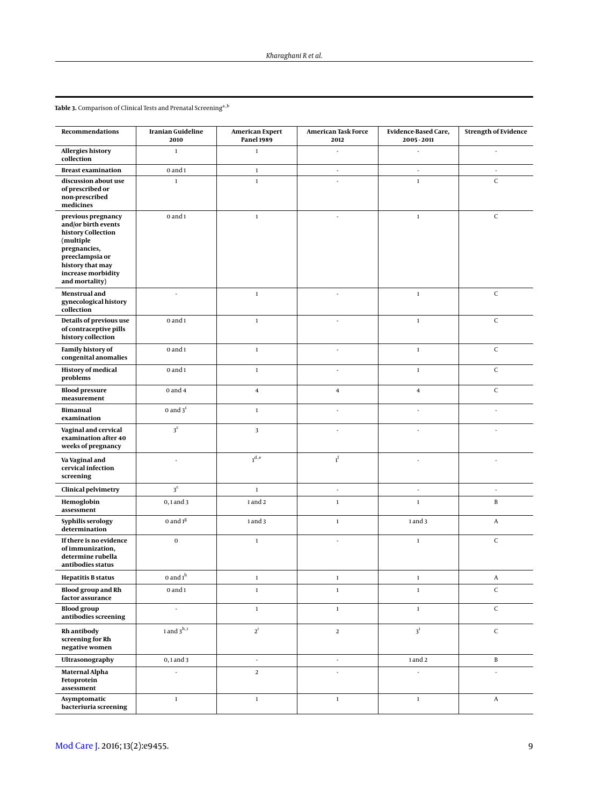<span id="page-8-0"></span> ${\bf Table}$  3. Comparison of Clinical Tests and Prenatal Screening $^{\rm a,b}$ 

| Recommendations                                                                                                                                                             | <b>Iranian Guideline</b><br>2010 | <b>American Expert</b><br><b>Panel 1989</b> | American Task Force<br>2012 | <b>Evidence-Based Care,</b><br>2005 - 2011 | <b>Strength of Evidence</b> |
|-----------------------------------------------------------------------------------------------------------------------------------------------------------------------------|----------------------------------|---------------------------------------------|-----------------------------|--------------------------------------------|-----------------------------|
| <b>Allergies history</b><br>collection                                                                                                                                      | $\mathbf{1}$                     | $\mathbf 1$                                 | ÷,                          | l,                                         | ×,                          |
| <b>Breast examination</b>                                                                                                                                                   | $0$ and $1$                      | $\mathbf 1$                                 | $\sim$                      | $\overline{\phantom{a}}$                   | ×                           |
| discussion about use<br>of prescribed or<br>non-prescribed<br>medicines                                                                                                     | $\mathbf{1}$                     | $\mathbf 1$                                 | ÷.                          | $\,1\,$                                    | $\mathsf C$                 |
| previous pregnancy<br>and/or birth events<br>history Collection<br>(multiple<br>pregnancies,<br>preeclampsia or<br>history that may<br>increase morbidity<br>and mortality) | $0$ and $1$                      | $\mathbf 1$                                 |                             | $\,1\,$                                    | $\mathsf C$                 |
| Menstrual and<br>gynecological history<br>collection                                                                                                                        |                                  | $\mathbf 1$                                 |                             | $\mathbf 1$                                | $\mathsf C$                 |
| Details of previous use<br>of contraceptive pills<br>history collection                                                                                                     | $0$ and $1$                      | $\mathbf 1$                                 | ä,                          | $\,1\,$                                    | $\mathsf C$                 |
| Family history of<br>congenital anomalies                                                                                                                                   | $0$ and $1$                      | $\mathbf 1$                                 | ×,                          | $\,1\,$                                    | $\mathsf C$                 |
| <b>History of medical</b><br>problems                                                                                                                                       | $0$ and $1$                      | $\mathbf 1$                                 | L.                          | $\mathbf 1$                                | $\mathsf C$                 |
| <b>Blood pressure</b><br>measurement                                                                                                                                        | $0$ and $4$                      | 4                                           | $\overline{\mathbf{4}}$     | $\overline{4}$                             | $\mathsf C$                 |
| <b>Bimanual</b><br>examination                                                                                                                                              | 0 and $3c$                       | $\mathbf 1$                                 |                             |                                            |                             |
| Vaginal and cervical<br>examination after 40<br>weeks of pregnancy                                                                                                          | 3 <sup>c</sup>                   | 3                                           |                             | ä,                                         |                             |
| Va Vaginal and<br>cervical infection<br>screening                                                                                                                           |                                  | 1 <sup>d,e</sup>                            | $1^f$                       |                                            |                             |
| <b>Clinical pelvimetry</b>                                                                                                                                                  | 3 <sup>c</sup>                   | $\mathbf 1$                                 | J.                          | ä,                                         |                             |
| Hemoglobin<br>assessment                                                                                                                                                    | $0, 1$ and $3$                   | 1 and 2                                     | $\mathbf 1$                 | $\,1\,$                                    | $\, {\bf B}$                |
| Syphilis serology<br>determination                                                                                                                                          | 0 and $1g$                       | 1 and 3                                     | $\mathbf 1$                 | 1 and 3                                    | $\boldsymbol{A}$            |
| If there is no evidence<br>of immunization,<br>determine rubella<br>antibodies status                                                                                       | $\mathbf 0$                      | $\mathbf 1$                                 |                             | $\,1\,$                                    | $\mathsf C$                 |
| <b>Hepatitis B status</b>                                                                                                                                                   | 0 and $1^h$                      | 1                                           | 1                           | 1                                          | A                           |
| <b>Blood group and Rh</b><br>factor assurance                                                                                                                               | $0$ and $1$                      | $\,1\,$                                     | $\,1\,$                     | $\,1\,$                                    | $\mathsf C$                 |
| <b>Blood</b> group<br>antibodies screening                                                                                                                                  | l,                               | $\mathbf 1$                                 | $\mathbf 1$                 | $\,1$                                      | $\mathsf C$                 |
| Rh antibody<br>screening for Rh<br>negative women                                                                                                                           | $1$ and $3^{\rm h,i}$            | $2^{\rm i}$                                 | $\mathbf 2$                 | $3^i$                                      | $\mathsf C$                 |
| Ultrasonography                                                                                                                                                             | $0, 1$ and $3$                   | ÷,                                          | ÷,                          | 1 and 2                                    | $\, {\bf B}$                |
| Maternal Alpha<br>Fetoprotein<br>assessment                                                                                                                                 |                                  | $\mathbf 2$                                 |                             |                                            |                             |
| Asymptomatic<br>bacteriuria screening                                                                                                                                       | $\,1\,$                          | $\mathbf 1$                                 | $\,1\,$                     | $\,1\,$                                    | A                           |